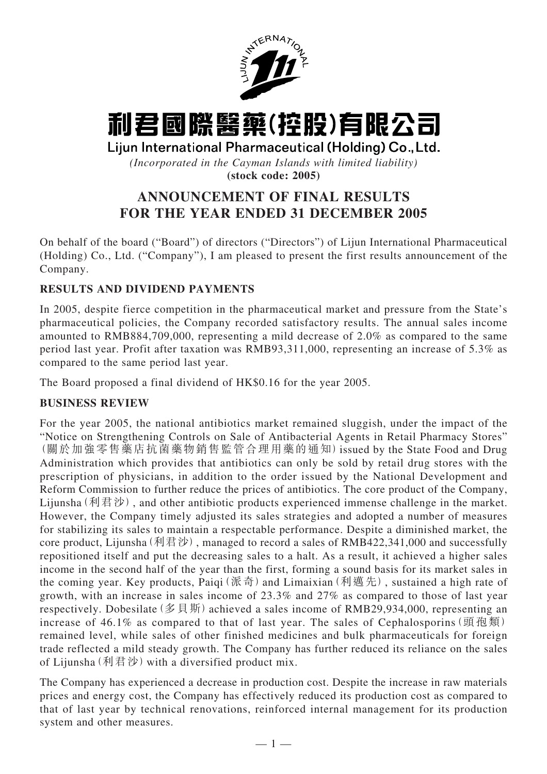

# 利君國際醫藥(控股)有限公司

Lijun International Pharmaceutical (Holding) Co., Ltd.

*(Incorporated in the Cayman Islands with limited liability)* **(stock code: 2005)**

## **ANNOUNCEMENT OF FINAL RESULTS FOR THE YEAR ENDED 31 DECEMBER 2005**

On behalf of the board ("Board") of directors ("Directors") of Lijun International Pharmaceutical (Holding) Co., Ltd. ("Company"), I am pleased to present the first results announcement of the Company.

## **RESULTS AND DIVIDEND PAYMENTS**

In 2005, despite fierce competition in the pharmaceutical market and pressure from the State's pharmaceutical policies, the Company recorded satisfactory results. The annual sales income amounted to RMB884,709,000, representing a mild decrease of 2.0% as compared to the same period last year. Profit after taxation was RMB93,311,000, representing an increase of 5.3% as compared to the same period last year.

The Board proposed a final dividend of HK\$0.16 for the year 2005.

## **BUSINESS REVIEW**

For the year 2005, the national antibiotics market remained sluggish, under the impact of the "Notice on Strengthening Controls on Sale of Antibacterial Agents in Retail Pharmacy Stores" (關於加強零售藥店抗菌藥物銷售監管合理用藥的通知)issued by the State Food and Drug Administration which provides that antibiotics can only be sold by retail drug stores with the prescription of physicians, in addition to the order issued by the National Development and Reform Commission to further reduce the prices of antibiotics. The core product of the Company, Lijunsha(利君沙), and other antibiotic products experienced immense challenge in the market. However, the Company timely adjusted its sales strategies and adopted a number of measures for stabilizing its sales to maintain a respectable performance. Despite a diminished market, the core product, Lijunsha  $(\text{] \#} \mathcal{D}$ ), managed to record a sales of RMB422,341,000 and successfully repositioned itself and put the decreasing sales to a halt. As a result, it achieved a higher sales income in the second half of the year than the first, forming a sound basis for its market sales in the coming year. Key products, Paiqi(派奇) and Limaixian(利邁先), sustained a high rate of growth, with an increase in sales income of 23.3% and 27% as compared to those of last year respectively. Dobesilate (多貝斯) achieved a sales income of RMB29,934,000, representing an increase of 46.1% as compared to that of last year. The sales of Cephalosporins (頭孢類) remained level, while sales of other finished medicines and bulk pharmaceuticals for foreign trade reflected a mild steady growth. The Company has further reduced its reliance on the sales of Lijunsha  $(\text{] } \mathbb{R} \mathcal{D}$  with a diversified product mix.

The Company has experienced a decrease in production cost. Despite the increase in raw materials prices and energy cost, the Company has effectively reduced its production cost as compared to that of last year by technical renovations, reinforced internal management for its production system and other measures.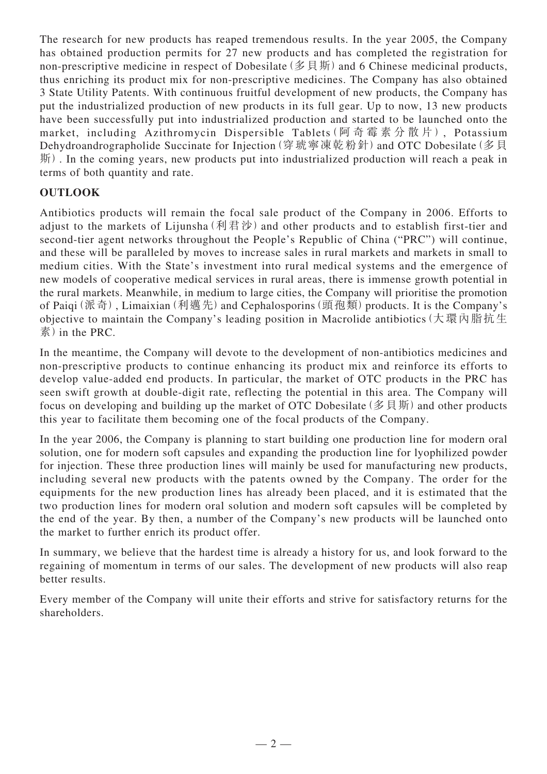The research for new products has reaped tremendous results. In the year 2005, the Company has obtained production permits for 27 new products and has completed the registration for non-prescriptive medicine in respect of Dobesilate (多貝斯) and 6 Chinese medicinal products, thus enriching its product mix for non-prescriptive medicines. The Company has also obtained 3 State Utility Patents. With continuous fruitful development of new products, the Company has put the industrialized production of new products in its full gear. Up to now, 13 new products have been successfully put into industrialized production and started to be launched onto the market, including Azithromycin Dispersible Tablets (阿奇霉素分散片), Potassium Dehydroandrographolide Succinate for Injection (穿琥寧凍乾粉針) and OTC Dobesilate (多貝 斯). In the coming years, new products put into industrialized production will reach a peak in terms of both quantity and rate.

## **OUTLOOK**

Antibiotics products will remain the focal sale product of the Company in 2006. Efforts to adjust to the markets of Lijunsha(利君沙) and other products and to establish first-tier and second-tier agent networks throughout the People's Republic of China ("PRC") will continue, and these will be paralleled by moves to increase sales in rural markets and markets in small to medium cities. With the State's investment into rural medical systems and the emergence of new models of cooperative medical services in rural areas, there is immense growth potential in the rural markets. Meanwhile, in medium to large cities, the Company will prioritise the promotion of Paiqi(派奇), Limaixian(利邁先) and Cephalosporins(頭孢類) products. It is the Company's objective to maintain the Company's leading position in Macrolide antibiotics(大環內脂抗生 素) in the PRC.

In the meantime, the Company will devote to the development of non-antibiotics medicines and non-prescriptive products to continue enhancing its product mix and reinforce its efforts to develop value-added end products. In particular, the market of OTC products in the PRC has seen swift growth at double-digit rate, reflecting the potential in this area. The Company will focus on developing and building up the market of OTC Dobesilate (多貝斯) and other products this year to facilitate them becoming one of the focal products of the Company.

In the year 2006, the Company is planning to start building one production line for modern oral solution, one for modern soft capsules and expanding the production line for lyophilized powder for injection. These three production lines will mainly be used for manufacturing new products, including several new products with the patents owned by the Company. The order for the equipments for the new production lines has already been placed, and it is estimated that the two production lines for modern oral solution and modern soft capsules will be completed by the end of the year. By then, a number of the Company's new products will be launched onto the market to further enrich its product offer.

In summary, we believe that the hardest time is already a history for us, and look forward to the regaining of momentum in terms of our sales. The development of new products will also reap better results.

Every member of the Company will unite their efforts and strive for satisfactory returns for the shareholders.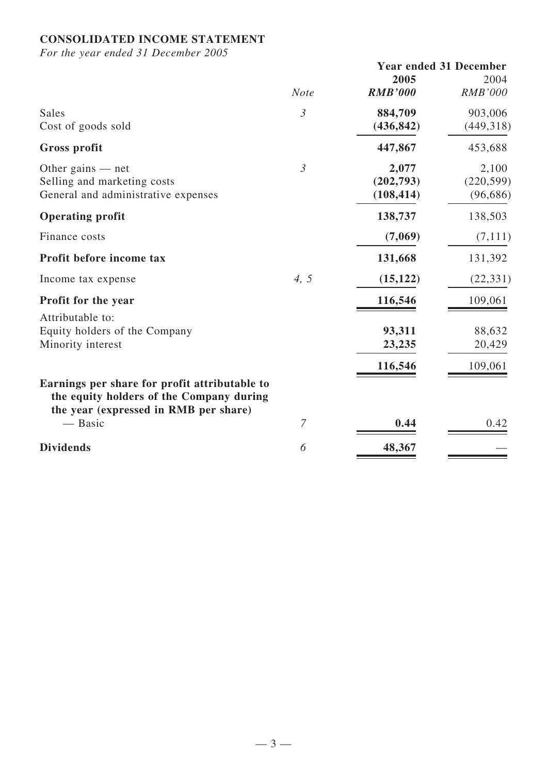## **CONSOLIDATED INCOME STATEMENT**

*For the year ended 31 December 2005*

|                                                                                                                                    |                | <b>Year ended 31 December</b> |                |
|------------------------------------------------------------------------------------------------------------------------------------|----------------|-------------------------------|----------------|
|                                                                                                                                    |                | 2005                          | 2004           |
|                                                                                                                                    | <b>Note</b>    | <b>RMB'000</b>                | <b>RMB'000</b> |
| Sales                                                                                                                              | $\mathfrak{Z}$ | 884,709                       | 903,006        |
| Cost of goods sold                                                                                                                 |                | (436, 842)                    | (449, 318)     |
| <b>Gross profit</b>                                                                                                                |                | 447,867                       | 453,688        |
| Other gains $-$ net                                                                                                                | $\mathfrak{Z}$ | 2,077                         | 2,100          |
| Selling and marketing costs                                                                                                        |                | (202,793)                     | (220, 599)     |
| General and administrative expenses                                                                                                |                | (108, 414)                    | (96, 686)      |
| <b>Operating profit</b>                                                                                                            |                | 138,737                       | 138,503        |
| Finance costs                                                                                                                      |                | (7,069)                       | (7,111)        |
| Profit before income tax                                                                                                           |                | 131,668                       | 131,392        |
| Income tax expense                                                                                                                 | 4, 5           | (15, 122)                     | (22, 331)      |
| Profit for the year                                                                                                                |                | 116,546                       | 109,061        |
| Attributable to:                                                                                                                   |                |                               |                |
| Equity holders of the Company                                                                                                      |                | 93,311                        | 88,632         |
| Minority interest                                                                                                                  |                | 23,235                        | 20,429         |
|                                                                                                                                    |                | 116,546                       | 109,061        |
| Earnings per share for profit attributable to<br>the equity holders of the Company during<br>the year (expressed in RMB per share) |                |                               |                |
| — Basic                                                                                                                            | 7              | 0.44                          | 0.42           |
| <b>Dividends</b>                                                                                                                   | 6              | 48,367                        |                |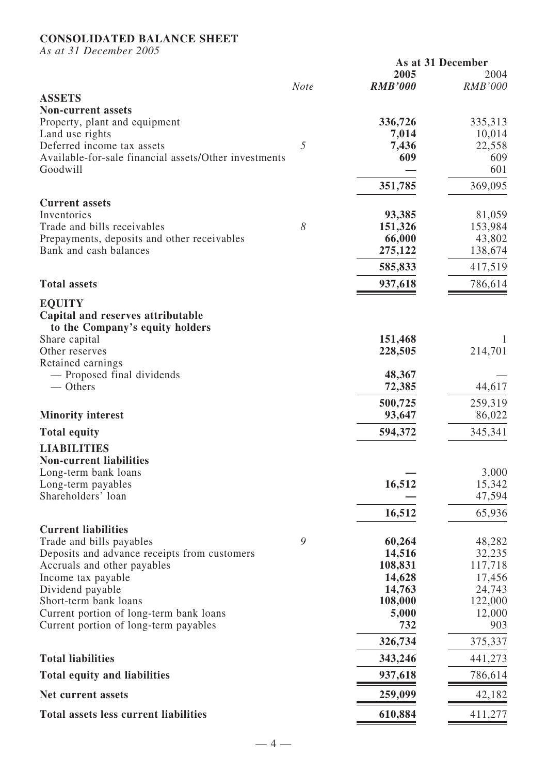## **CONSOLIDATED BALANCE SHEET**

*As at 31 December 2005*

| $\mu$ as a $\mu$ $\mu$ becomposed $\mu$                                          |             | As at 31 December |                   |
|----------------------------------------------------------------------------------|-------------|-------------------|-------------------|
|                                                                                  |             | 2005              | 2004              |
|                                                                                  | <b>Note</b> | <b>RMB'000</b>    | <b>RMB'000</b>    |
| <b>ASSETS</b><br><b>Non-current assets</b>                                       |             |                   |                   |
| Property, plant and equipment                                                    |             | 336,726           | 335,313           |
| Land use rights                                                                  |             | 7,014             | 10,014            |
| Deferred income tax assets                                                       | 5           | 7,436             | 22,558            |
| Available-for-sale financial assets/Other investments                            |             | 609               | 609               |
| Goodwill                                                                         |             |                   | 601               |
|                                                                                  |             | 351,785           | 369,095           |
| <b>Current assets</b>                                                            |             |                   |                   |
| Inventories<br>Trade and bills receivables                                       | 8           | 93,385            | 81,059            |
| Prepayments, deposits and other receivables                                      |             | 151,326<br>66,000 | 153,984<br>43,802 |
| Bank and cash balances                                                           |             | 275,122           | 138,674           |
|                                                                                  |             | 585,833           | 417,519           |
| <b>Total assets</b>                                                              |             | 937,618           | 786,614           |
| <b>EQUITY</b>                                                                    |             |                   |                   |
| Capital and reserves attributable<br>to the Company's equity holders             |             |                   |                   |
| Share capital                                                                    |             | 151,468           |                   |
| Other reserves                                                                   |             | 228,505           | 214,701           |
| Retained earnings                                                                |             |                   |                   |
| - Proposed final dividends                                                       |             | 48,367            |                   |
| — Others                                                                         |             | 72,385            | 44,617            |
|                                                                                  |             | 500,725           | 259,319           |
| <b>Minority interest</b>                                                         |             | 93,647            | 86,022            |
| <b>Total equity</b>                                                              |             | 594,372           | 345,341           |
| <b>LIABILITIES</b>                                                               |             |                   |                   |
| <b>Non-current liabilities</b>                                                   |             |                   | 3,000             |
| Long-term bank loans<br>Long-term payables                                       |             | 16,512            | 15,342            |
| Shareholders' loan                                                               |             |                   | 47,594            |
|                                                                                  |             | 16,512            | 65,936            |
| <b>Current liabilities</b>                                                       |             |                   |                   |
| Trade and bills payables                                                         | 9           | 60,264            | 48,282            |
| Deposits and advance receipts from customers                                     |             | 14,516            | 32,235            |
| Accruals and other payables                                                      |             | 108,831           | 117,718           |
| Income tax payable                                                               |             | 14,628            | 17,456            |
| Dividend payable                                                                 |             | 14,763            | 24,743            |
| Short-term bank loans                                                            |             | 108,000           | 122,000           |
| Current portion of long-term bank loans<br>Current portion of long-term payables |             | 5,000<br>732      | 12,000<br>903     |
|                                                                                  |             | 326,734           | 375,337           |
| <b>Total liabilities</b>                                                         |             | 343,246           | 441,273           |
| <b>Total equity and liabilities</b>                                              |             | 937,618           | 786,614           |
| Net current assets                                                               |             | 259,099           | 42,182            |
| Total assets less current liabilities                                            |             | 610,884           | 411,277           |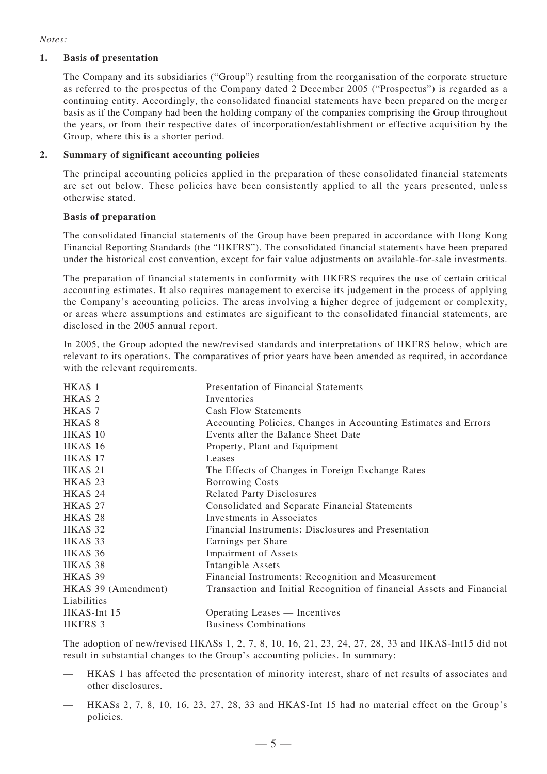#### *Notes:*

#### **1. Basis of presentation**

The Company and its subsidiaries ("Group") resulting from the reorganisation of the corporate structure as referred to the prospectus of the Company dated 2 December 2005 ("Prospectus") is regarded as a continuing entity. Accordingly, the consolidated financial statements have been prepared on the merger basis as if the Company had been the holding company of the companies comprising the Group throughout the years, or from their respective dates of incorporation/establishment or effective acquisition by the Group, where this is a shorter period.

#### **2. Summary of significant accounting policies**

The principal accounting policies applied in the preparation of these consolidated financial statements are set out below. These policies have been consistently applied to all the years presented, unless otherwise stated.

#### **Basis of preparation**

The consolidated financial statements of the Group have been prepared in accordance with Hong Kong Financial Reporting Standards (the "HKFRS"). The consolidated financial statements have been prepared under the historical cost convention, except for fair value adjustments on available-for-sale investments.

The preparation of financial statements in conformity with HKFRS requires the use of certain critical accounting estimates. It also requires management to exercise its judgement in the process of applying the Company's accounting policies. The areas involving a higher degree of judgement or complexity, or areas where assumptions and estimates are significant to the consolidated financial statements, are disclosed in the 2005 annual report.

In 2005, the Group adopted the new/revised standards and interpretations of HKFRS below, which are relevant to its operations. The comparatives of prior years have been amended as required, in accordance with the relevant requirements.

| HKAS <sub>1</sub>   | <b>Presentation of Financial Statements</b>                           |
|---------------------|-----------------------------------------------------------------------|
| HKAS <sub>2</sub>   | Inventories                                                           |
| HKAS <sub>7</sub>   | <b>Cash Flow Statements</b>                                           |
| HKAS <sup>8</sup>   | Accounting Policies, Changes in Accounting Estimates and Errors       |
| HKAS 10             | Events after the Balance Sheet Date                                   |
| HKAS 16             | Property, Plant and Equipment                                         |
| HKAS 17             | Leases                                                                |
| HKAS <sub>21</sub>  | The Effects of Changes in Foreign Exchange Rates                      |
| HKAS <sub>23</sub>  | <b>Borrowing Costs</b>                                                |
| HKAS <sub>24</sub>  | <b>Related Party Disclosures</b>                                      |
| HKAS <sub>27</sub>  | Consolidated and Separate Financial Statements                        |
| HKAS <sub>28</sub>  | Investments in Associates                                             |
| HKAS 32             | Financial Instruments: Disclosures and Presentation                   |
| HKAS 33             | Earnings per Share                                                    |
| HKAS 36             | Impairment of Assets                                                  |
| HKAS 38             | Intangible Assets                                                     |
| HKAS 39             | Financial Instruments: Recognition and Measurement                    |
| HKAS 39 (Amendment) | Transaction and Initial Recognition of financial Assets and Financial |
| Liabilities         |                                                                       |
| HKAS-Int 15         | Operating Leases — Incentives                                         |
| HKFRS 3             | <b>Business Combinations</b>                                          |

The adoption of new/revised HKASs 1, 2, 7, 8, 10, 16, 21, 23, 24, 27, 28, 33 and HKAS-Int15 did not result in substantial changes to the Group's accounting policies. In summary:

- HKAS 1 has affected the presentation of minority interest, share of net results of associates and other disclosures.
- HKASs 2, 7, 8, 10, 16, 23, 27, 28, 33 and HKAS-Int 15 had no material effect on the Group's policies.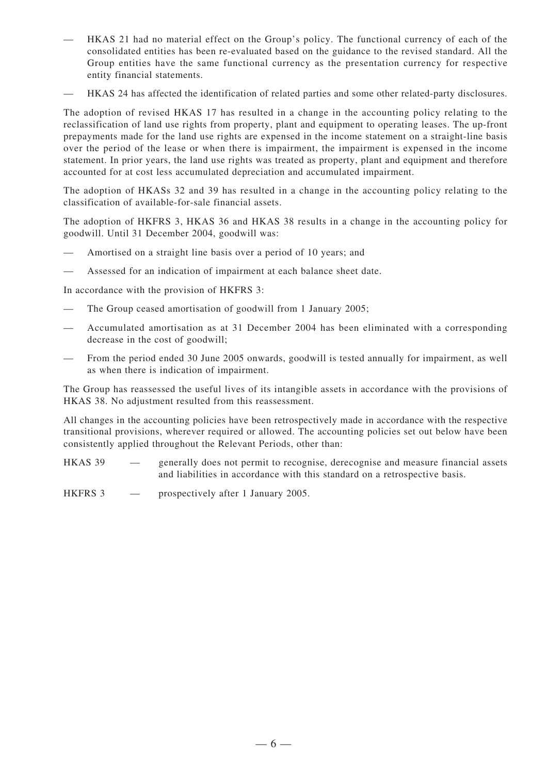- HKAS 21 had no material effect on the Group's policy. The functional currency of each of the consolidated entities has been re-evaluated based on the guidance to the revised standard. All the Group entities have the same functional currency as the presentation currency for respective entity financial statements.
- HKAS 24 has affected the identification of related parties and some other related-party disclosures.

The adoption of revised HKAS 17 has resulted in a change in the accounting policy relating to the reclassification of land use rights from property, plant and equipment to operating leases. The up-front prepayments made for the land use rights are expensed in the income statement on a straight-line basis over the period of the lease or when there is impairment, the impairment is expensed in the income statement. In prior years, the land use rights was treated as property, plant and equipment and therefore accounted for at cost less accumulated depreciation and accumulated impairment.

The adoption of HKASs 32 and 39 has resulted in a change in the accounting policy relating to the classification of available-for-sale financial assets.

The adoption of HKFRS 3, HKAS 36 and HKAS 38 results in a change in the accounting policy for goodwill. Until 31 December 2004, goodwill was:

- Amortised on a straight line basis over a period of 10 years; and
- Assessed for an indication of impairment at each balance sheet date.

In accordance with the provision of HKFRS 3:

- The Group ceased amortisation of goodwill from 1 January 2005;
- Accumulated amortisation as at 31 December 2004 has been eliminated with a corresponding decrease in the cost of goodwill;
- From the period ended 30 June 2005 onwards, goodwill is tested annually for impairment, as well as when there is indication of impairment.

The Group has reassessed the useful lives of its intangible assets in accordance with the provisions of HKAS 38. No adjustment resulted from this reassessment.

All changes in the accounting policies have been retrospectively made in accordance with the respective transitional provisions, wherever required or allowed. The accounting policies set out below have been consistently applied throughout the Relevant Periods, other than:

HKAS 39 — generally does not permit to recognise, derecognise and measure financial assets and liabilities in accordance with this standard on a retrospective basis.

HKFRS 3 — prospectively after 1 January 2005.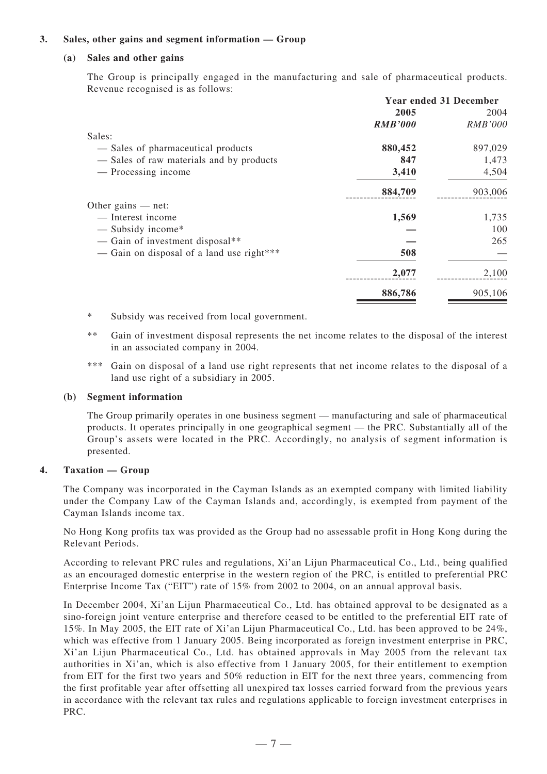#### **3. Sales, other gains and segment information — Group**

#### **(a) Sales and other gains**

The Group is principally engaged in the manufacturing and sale of pharmaceutical products. Revenue recognised is as follows:

|                                           | <b>Year ended 31 December</b> |                |
|-------------------------------------------|-------------------------------|----------------|
|                                           | 2005                          | 2004           |
|                                           | <b>RMB'000</b>                | <b>RMB'000</b> |
| Sales:                                    |                               |                |
| - Sales of pharmaceutical products        | 880,452                       | 897,029        |
| - Sales of raw materials and by products  | 847                           | 1,473          |
| — Processing income                       | 3,410                         | 4,504          |
|                                           | 884,709                       | 903,006        |
| Other gains $-$ net:                      |                               |                |
| — Interest income                         | 1,569                         | 1,735          |
| $-$ Subsidy income*                       |                               | 100            |
| - Gain of investment disposal**           |                               | 265            |
| — Gain on disposal of a land use right*** | 508                           |                |
|                                           | 2,077                         | 2,100          |
|                                           | 886,786                       | 905,106        |

- \* Subsidy was received from local government.
- \*\* Gain of investment disposal represents the net income relates to the disposal of the interest in an associated company in 2004.
- \*\*\* Gain on disposal of a land use right represents that net income relates to the disposal of a land use right of a subsidiary in 2005.

#### **(b) Segment information**

The Group primarily operates in one business segment — manufacturing and sale of pharmaceutical products. It operates principally in one geographical segment — the PRC. Substantially all of the Group's assets were located in the PRC. Accordingly, no analysis of segment information is presented.

#### **4. Taxation — Group**

The Company was incorporated in the Cayman Islands as an exempted company with limited liability under the Company Law of the Cayman Islands and, accordingly, is exempted from payment of the Cayman Islands income tax.

No Hong Kong profits tax was provided as the Group had no assessable profit in Hong Kong during the Relevant Periods.

According to relevant PRC rules and regulations, Xi'an Lijun Pharmaceutical Co., Ltd., being qualified as an encouraged domestic enterprise in the western region of the PRC, is entitled to preferential PRC Enterprise Income Tax ("EIT") rate of 15% from 2002 to 2004, on an annual approval basis.

In December 2004, Xi'an Lijun Pharmaceutical Co., Ltd. has obtained approval to be designated as a sino-foreign joint venture enterprise and therefore ceased to be entitled to the preferential EIT rate of 15%. In May 2005, the EIT rate of Xi'an Lijun Pharmaceutical Co., Ltd. has been approved to be 24%, which was effective from 1 January 2005. Being incorporated as foreign investment enterprise in PRC, Xi'an Lijun Pharmaceutical Co., Ltd. has obtained approvals in May 2005 from the relevant tax authorities in Xi'an, which is also effective from 1 January 2005, for their entitlement to exemption from EIT for the first two years and 50% reduction in EIT for the next three years, commencing from the first profitable year after offsetting all unexpired tax losses carried forward from the previous years in accordance with the relevant tax rules and regulations applicable to foreign investment enterprises in PRC.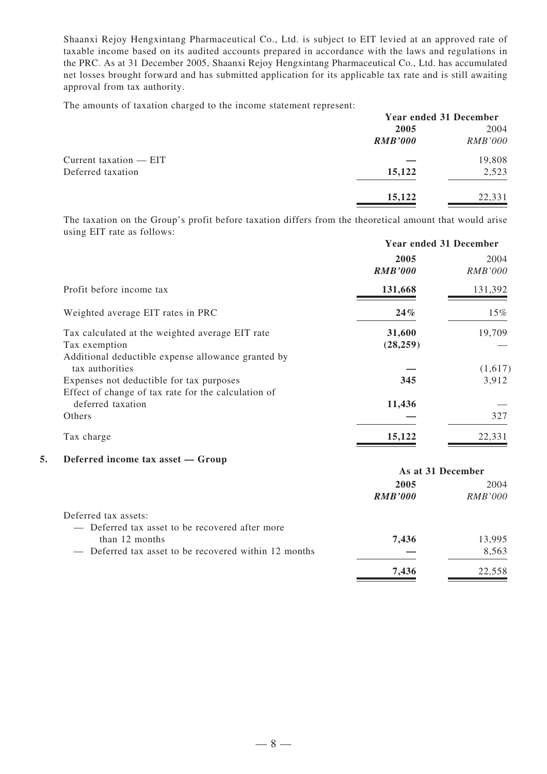Shaanxi Rejoy Hengxintang Pharmaceutical Co., Ltd. is subject to EIT levied at an approved rate of taxable income based on its audited accounts prepared in accordance with the laws and regulations in the PRC. As at 31 December 2005, Shaanxi Rejoy Hengxintang Pharmaceutical Co., Ltd. has accumulated net losses brought forward and has submitted application for its applicable tax rate and is still awaiting approval from tax authority.

The amounts of taxation charged to the income statement represent:

|                          | <b>Year ended 31 December</b> |                |
|--------------------------|-------------------------------|----------------|
|                          | 2005                          | 2004           |
|                          | <b>RMB'000</b>                | <i>RMB'000</i> |
| Current taxation $-$ EIT |                               | 19,808         |
| Deferred taxation        | 15,122                        | 2,523          |
|                          | 15,122                        | 22,331         |
|                          |                               |                |

The taxation on the Group's profit before taxation differs from the theoretical amount that would arise using EIT rate as follows:

|                                                                                                                        | <b>Year ended 31 December</b> |                        |
|------------------------------------------------------------------------------------------------------------------------|-------------------------------|------------------------|
|                                                                                                                        | 2005<br><b>RMB'000</b>        | 2004<br><i>RMB'000</i> |
| Profit before income tax                                                                                               | 131,668                       | 131,392                |
| Weighted average EIT rates in PRC                                                                                      | $24\%$                        | $15\%$                 |
| Tax calculated at the weighted average EIT rate<br>Tax exemption<br>Additional deductible expense allowance granted by | 31,600<br>(28, 259)           | 19,709                 |
| tax authorities<br>Expenses not deductible for tax purposes<br>Effect of change of tax rate for the calculation of     | 345                           | (1,617)<br>3,912       |
| deferred taxation<br>Others                                                                                            | 11,436                        | 327                    |
| Tax charge                                                                                                             | 15,122                        | 22,331                 |

#### **5. Deferred income tax asset — Group**

| <b>Deteriou income can abbee</b><br>$\mathbf{v}$ . $\mathbf{v}$ | As at 31 December |                |
|-----------------------------------------------------------------|-------------------|----------------|
|                                                                 | 2005              | 2004           |
|                                                                 | <b>RMB'000</b>    | <i>RMB'000</i> |
| Deferred tax assets:                                            |                   |                |
| - Deferred tax asset to be recovered after more                 |                   |                |
| than 12 months                                                  | 7,436             | 13,995         |
| - Deferred tax asset to be recovered within 12 months           |                   | 8,563          |
|                                                                 | 7.436             | 22.558         |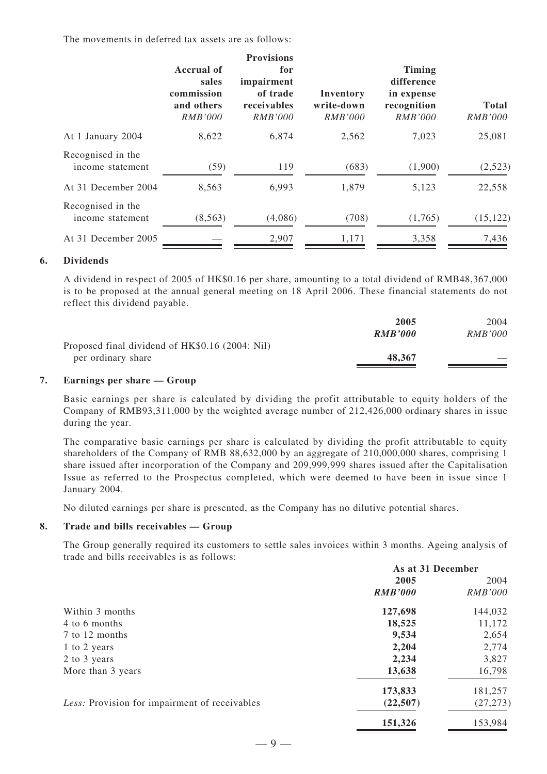The movements in deferred tax assets are as follows:

|                                       | <b>Accrual of</b><br>sales<br>commission<br>and others<br><i>RMB'000</i> | <b>Provisions</b><br>for<br>impairment<br>of trade<br>receivables<br><i>RMB'000</i> | Inventory<br>write-down<br><i>RMB'000</i> | <b>Timing</b><br>difference<br>in expense<br>recognition<br><i>RMB'000</i> | <b>Total</b><br><b>RMB'000</b> |
|---------------------------------------|--------------------------------------------------------------------------|-------------------------------------------------------------------------------------|-------------------------------------------|----------------------------------------------------------------------------|--------------------------------|
| At 1 January 2004                     | 8,622                                                                    | 6,874                                                                               | 2,562                                     | 7,023                                                                      | 25,081                         |
| Recognised in the<br>income statement | (59)                                                                     | 119                                                                                 | (683)                                     | (1,900)                                                                    | (2,523)                        |
| At 31 December 2004                   | 8,563                                                                    | 6,993                                                                               | 1,879                                     | 5,123                                                                      | 22,558                         |
| Recognised in the<br>income statement | (8, 563)                                                                 | (4,086)                                                                             | (708)                                     | (1,765)                                                                    | (15, 122)                      |
| At 31 December 2005                   |                                                                          | 2,907                                                                               | 1,171                                     | 3,358                                                                      | 7,436                          |

#### **6. Dividends**

A dividend in respect of 2005 of HK\$0.16 per share, amounting to a total dividend of RMB48,367,000 is to be proposed at the annual general meeting on 18 April 2006. These financial statements do not reflect this dividend payable.

|                                                 | 2005    | 2004           |
|-------------------------------------------------|---------|----------------|
|                                                 | RMB'000 | <i>RMB'000</i> |
| Proposed final dividend of HK\$0.16 (2004: Nil) |         |                |
| per ordinary share                              | 48,367  |                |

#### **7. Earnings per share — Group**

Basic earnings per share is calculated by dividing the profit attributable to equity holders of the Company of RMB93,311,000 by the weighted average number of 212,426,000 ordinary shares in issue during the year.

The comparative basic earnings per share is calculated by dividing the profit attributable to equity shareholders of the Company of RMB 88,632,000 by an aggregate of 210,000,000 shares, comprising 1 share issued after incorporation of the Company and 209,999,999 shares issued after the Capitalisation Issue as referred to the Prospectus completed, which were deemed to have been in issue since 1 January 2004.

No diluted earnings per share is presented, as the Company has no dilutive potential shares.

#### **8. Trade and bills receivables — Group**

The Group generally required its customers to settle sales invoices within 3 months. Ageing analysis of trade and bills receivables is as follows:

|                                               | As at 31 December |                |
|-----------------------------------------------|-------------------|----------------|
|                                               | 2005              | 2004           |
|                                               | <b>RMB'000</b>    | <i>RMB'000</i> |
| Within 3 months                               | 127,698           | 144,032        |
| 4 to 6 months                                 | 18,525            | 11,172         |
| 7 to 12 months                                | 9,534             | 2,654          |
| 1 to 2 years                                  | 2,204             | 2,774          |
| 2 to 3 years                                  | 2,234             | 3,827          |
| More than 3 years                             | 13,638            | 16,798         |
|                                               | 173,833           | 181,257        |
| Less: Provision for impairment of receivables | (22,507)          | (27, 273)      |
|                                               | 151,326           | 153,984        |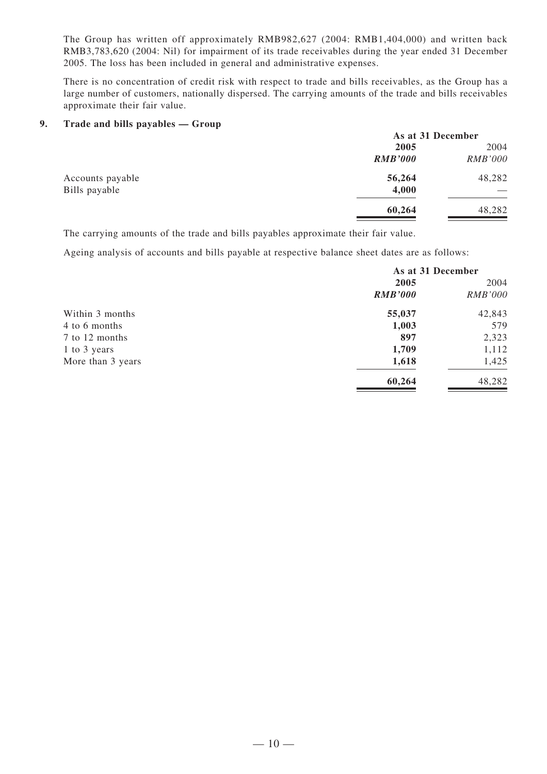The Group has written off approximately RMB982,627 (2004: RMB1,404,000) and written back RMB3,783,620 (2004: Nil) for impairment of its trade receivables during the year ended 31 December 2005. The loss has been included in general and administrative expenses.

There is no concentration of credit risk with respect to trade and bills receivables, as the Group has a large number of customers, nationally dispersed. The carrying amounts of the trade and bills receivables approximate their fair value.

#### **9. Trade and bills payables — Group**

|                  | As at 31 December |                |
|------------------|-------------------|----------------|
|                  | 2005              | 2004           |
|                  | <b>RMB'000</b>    | <b>RMB'000</b> |
| Accounts payable | 56,264            | 48,282         |
| Bills payable    | 4,000             |                |
|                  | 60,264            | 48,282         |

The carrying amounts of the trade and bills payables approximate their fair value.

Ageing analysis of accounts and bills payable at respective balance sheet dates are as follows:

|                   | As at 31 December |                |
|-------------------|-------------------|----------------|
|                   | 2005              | 2004           |
|                   | <b>RMB'000</b>    | <b>RMB'000</b> |
| Within 3 months   | 55,037            | 42,843         |
| 4 to 6 months     | 1,003             | 579            |
| 7 to 12 months    | 897               | 2,323          |
| 1 to 3 years      | 1,709             | 1,112          |
| More than 3 years | 1,618             | 1,425          |
|                   | 60,264            | 48,282         |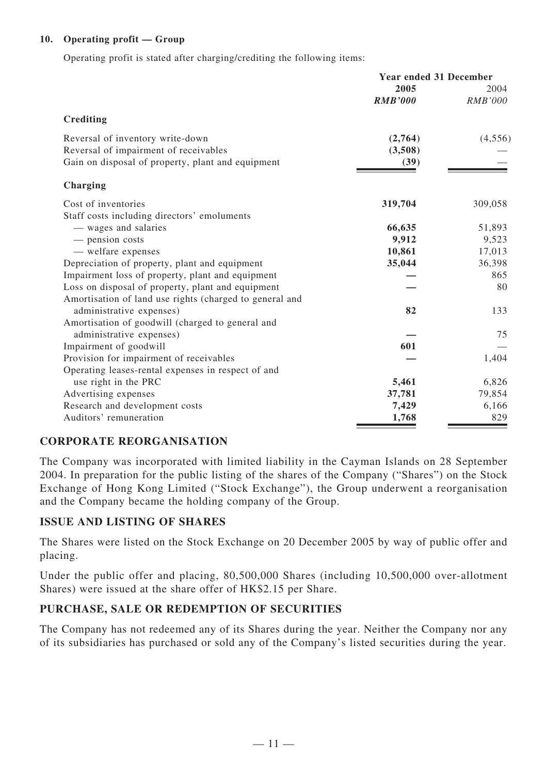### **10. Operating profit — Group**

Operating profit is stated after charging/crediting the following items:

|                                                         | <b>Year ended 31 December</b> |                        |
|---------------------------------------------------------|-------------------------------|------------------------|
|                                                         | 2005<br><b>RMB'000</b>        | 2004<br><b>RMB'000</b> |
|                                                         |                               |                        |
| <b>Crediting</b>                                        |                               |                        |
| Reversal of inventory write-down                        | (2,764)                       | (4, 556)               |
| Reversal of impairment of receivables                   | (3,508)                       |                        |
| Gain on disposal of property, plant and equipment       | (39)                          |                        |
| Charging                                                |                               |                        |
| Cost of inventories                                     | 319,704                       | 309,058                |
| Staff costs including directors' emoluments             |                               |                        |
| — wages and salaries                                    | 66,635                        | 51,893                 |
| - pension costs                                         | 9,912                         | 9,523                  |
| - welfare expenses                                      | 10,861                        | 17,013                 |
| Depreciation of property, plant and equipment           | 35,044                        | 36,398                 |
| Impairment loss of property, plant and equipment        |                               | 865                    |
| Loss on disposal of property, plant and equipment       |                               | 80                     |
| Amortisation of land use rights (charged to general and |                               |                        |
| administrative expenses)                                | 82                            | 133                    |
| Amortisation of goodwill (charged to general and        |                               |                        |
| administrative expenses)                                |                               | 75                     |
| Impairment of goodwill                                  | 601                           |                        |
| Provision for impairment of receivables                 |                               | 1,404                  |
| Operating leases-rental expenses in respect of and      |                               |                        |
| use right in the PRC                                    | 5,461                         | 6,826                  |
| Advertising expenses                                    | 37,781                        | 79,854                 |
| Research and development costs                          | 7,429                         | 6,166                  |
| Auditors' remuneration                                  | 1,768                         | 829                    |

## **CORPORATE REORGANISATION**

The Company was incorporated with limited liability in the Cayman Islands on 28 September 2004. In preparation for the public listing of the shares of the Company ("Shares") on the Stock Exchange of Hong Kong Limited ("Stock Exchange"), the Group underwent a reorganisation and the Company became the holding company of the Group.

## **ISSUE AND LISTING OF SHARES**

The Shares were listed on the Stock Exchange on 20 December 2005 by way of public offer and placing.

Under the public offer and placing, 80,500,000 Shares (including 10,500,000 over-allotment Shares) were issued at the share offer of HK\$2.15 per Share.

## **PURCHASE, SALE OR REDEMPTION OF SECURITIES**

The Company has not redeemed any of its Shares during the year. Neither the Company nor any of its subsidiaries has purchased or sold any of the Company's listed securities during the year.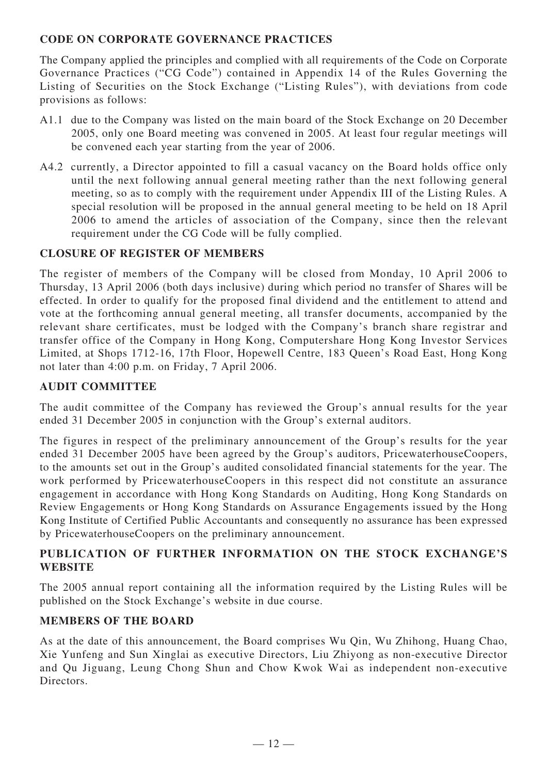## **CODE ON CORPORATE GOVERNANCE PRACTICES**

The Company applied the principles and complied with all requirements of the Code on Corporate Governance Practices ("CG Code") contained in Appendix 14 of the Rules Governing the Listing of Securities on the Stock Exchange ("Listing Rules"), with deviations from code provisions as follows:

- A1.1 due to the Company was listed on the main board of the Stock Exchange on 20 December 2005, only one Board meeting was convened in 2005. At least four regular meetings will be convened each year starting from the year of 2006.
- A4.2 currently, a Director appointed to fill a casual vacancy on the Board holds office only until the next following annual general meeting rather than the next following general meeting, so as to comply with the requirement under Appendix III of the Listing Rules. A special resolution will be proposed in the annual general meeting to be held on 18 April 2006 to amend the articles of association of the Company, since then the relevant requirement under the CG Code will be fully complied.

## **CLOSURE OF REGISTER OF MEMBERS**

The register of members of the Company will be closed from Monday, 10 April 2006 to Thursday, 13 April 2006 (both days inclusive) during which period no transfer of Shares will be effected. In order to qualify for the proposed final dividend and the entitlement to attend and vote at the forthcoming annual general meeting, all transfer documents, accompanied by the relevant share certificates, must be lodged with the Company's branch share registrar and transfer office of the Company in Hong Kong, Computershare Hong Kong Investor Services Limited, at Shops 1712-16, 17th Floor, Hopewell Centre, 183 Queen's Road East, Hong Kong not later than 4:00 p.m. on Friday, 7 April 2006.

## **AUDIT COMMITTEE**

The audit committee of the Company has reviewed the Group's annual results for the year ended 31 December 2005 in conjunction with the Group's external auditors.

The figures in respect of the preliminary announcement of the Group's results for the year ended 31 December 2005 have been agreed by the Group's auditors, PricewaterhouseCoopers, to the amounts set out in the Group's audited consolidated financial statements for the year. The work performed by PricewaterhouseCoopers in this respect did not constitute an assurance engagement in accordance with Hong Kong Standards on Auditing, Hong Kong Standards on Review Engagements or Hong Kong Standards on Assurance Engagements issued by the Hong Kong Institute of Certified Public Accountants and consequently no assurance has been expressed by PricewaterhouseCoopers on the preliminary announcement.

## **PUBLICATION OF FURTHER INFORMATION ON THE STOCK EXCHANGE'S WEBSITE**

The 2005 annual report containing all the information required by the Listing Rules will be published on the Stock Exchange's website in due course.

## **MEMBERS OF THE BOARD**

As at the date of this announcement, the Board comprises Wu Qin, Wu Zhihong, Huang Chao, Xie Yunfeng and Sun Xinglai as executive Directors, Liu Zhiyong as non-executive Director and Qu Jiguang, Leung Chong Shun and Chow Kwok Wai as independent non-executive Directors.